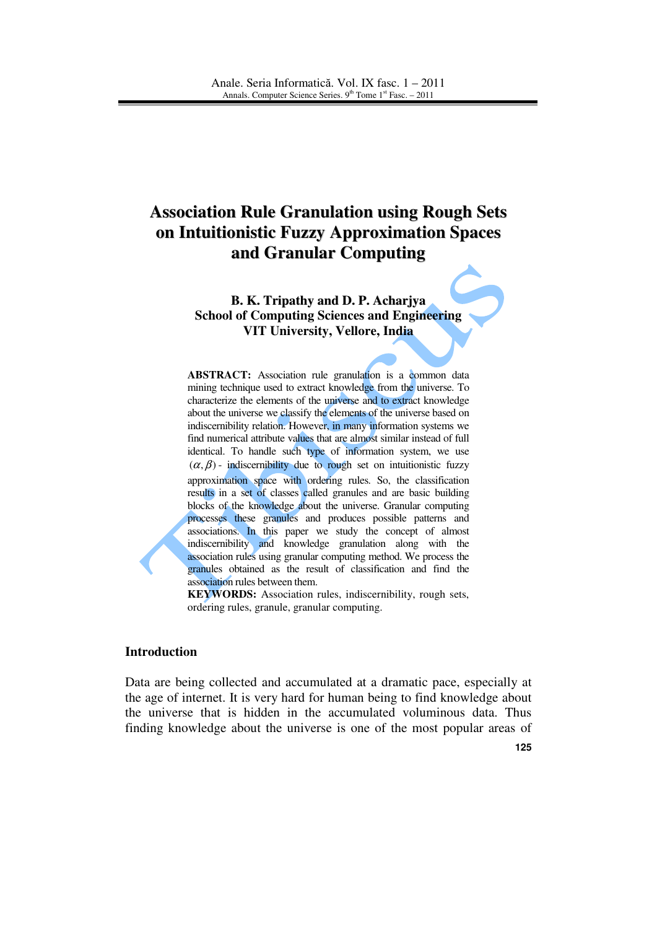# **Association Rule Granulation using Rough Sets on Intuitionistic Fuzzy Approximation Spaces and Granular Computing**

## **B. K. Tripathy and D. P. Acharjya School of Computing Sciences and Engineering VIT University, Vellore, India**

ABSTRACT: Association rule granulation is a common data mining technique used to extract knowledge from the universe. To characterize the elements of the universe and to extract knowledge about the universe we classify the elements of the universe based on indiscernibility relation. However, in many information systems we find numerical attribute values that are almost similar instead of full identical. To handle such type of information system, we use  $(\alpha, \beta)$  - indiscernibility due to rough set on intuitionistic fuzzy approximation space with ordering rules. So, the classification results in a set of classes called granules and are basic building blocks of the knowledge about the universe. Granular computing processes these granules and produces possible patterns and associations. In this paper we study the concept of almost indiscernibility and knowledge granulation along with the association rules using granular computing method. We process the granules obtained as the result of classification and find the association rules between them.

**KEYWORDS:** Association rules, indiscernibility, rough sets, ordering rules, granule, granular computing.

#### **Introduction**

Data are being collected and accumulated at a dramatic pace, especially at the age of internet. It is very hard for human being to find knowledge about the universe that is hidden in the accumulated voluminous data. Thus finding knowledge about the universe is one of the most popular areas of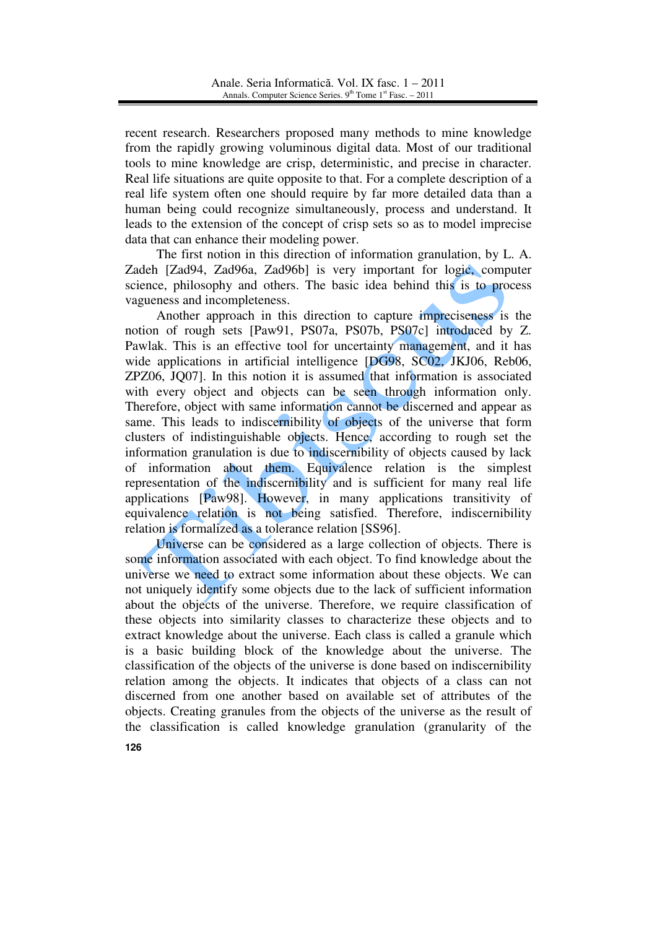recent research. Researchers proposed many methods to mine knowledge from the rapidly growing voluminous digital data. Most of our traditional tools to mine knowledge are crisp, deterministic, and precise in character. Real life situations are quite opposite to that. For a complete description of a real life system often one should require by far more detailed data than a human being could recognize simultaneously, process and understand. It leads to the extension of the concept of crisp sets so as to model imprecise data that can enhance their modeling power.

 The first notion in this direction of information granulation, by L. A. Zadeh [Zad94, Zad96a, Zad96b] is very important for logic, computer science, philosophy and others. The basic idea behind this is to process vagueness and incompleteness.

 Another approach in this direction to capture impreciseness is the notion of rough sets [Paw91, PS07a, PS07b, PS07c] introduced by Z. Pawlak. This is an effective tool for uncertainty management, and it has wide applications in artificial intelligence [DG98, SC02, JKJ06, Reb06, ZPZ06, JQ07]. In this notion it is assumed that information is associated with every object and objects can be seen through information only. Therefore, object with same information cannot be discerned and appear as same. This leads to indiscernibility of objects of the universe that form clusters of indistinguishable objects. Hence, according to rough set the information granulation is due to indiscernibility of objects caused by lack of information about them. Equivalence relation is the simplest representation of the indiscernibility and is sufficient for many real life applications [Paw98]. However, in many applications transitivity of equivalence relation is not being satisfied. Therefore, indiscernibility relation is formalized as a tolerance relation [SS96].

Universe can be considered as a large collection of objects. There is some information associated with each object. To find knowledge about the universe we need to extract some information about these objects. We can not uniquely identify some objects due to the lack of sufficient information about the objects of the universe. Therefore, we require classification of these objects into similarity classes to characterize these objects and to extract knowledge about the universe. Each class is called a granule which is a basic building block of the knowledge about the universe. The classification of the objects of the universe is done based on indiscernibility relation among the objects. It indicates that objects of a class can not discerned from one another based on available set of attributes of the objects. Creating granules from the objects of the universe as the result of the classification is called knowledge granulation (granularity of the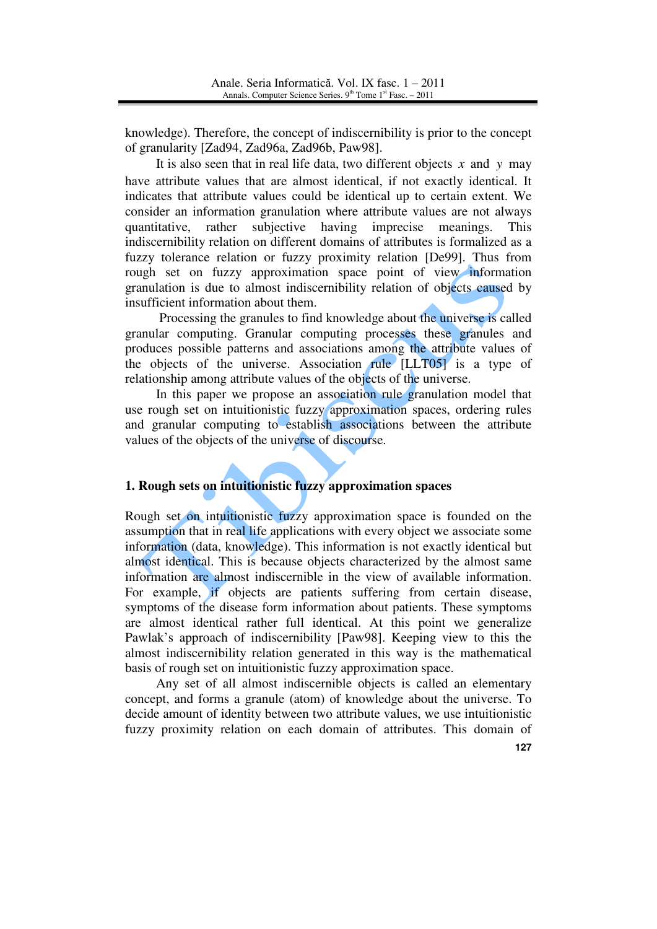knowledge). Therefore, the concept of indiscernibility is prior to the concept of granularity [Zad94, Zad96a, Zad96b, Paw98].

It is also seen that in real life data, two different objects  $\bar{x}$  and  $\bar{y}$  may have attribute values that are almost identical, if not exactly identical. It indicates that attribute values could be identical up to certain extent. We consider an information granulation where attribute values are not always quantitative, rather subjective having imprecise meanings. This indiscernibility relation on different domains of attributes is formalized as a fuzzy tolerance relation or fuzzy proximity relation [De99]. Thus from rough set on fuzzy approximation space point of view information granulation is due to almost indiscernibility relation of objects caused by insufficient information about them.

 Processing the granules to find knowledge about the universe is called granular computing. Granular computing processes these granules and produces possible patterns and associations among the attribute values of the objects of the universe. Association rule [LLT05] is a type of relationship among attribute values of the objects of the universe.

In this paper we propose an association rule granulation model that use rough set on intuitionistic fuzzy approximation spaces, ordering rules and granular computing to establish associations between the attribute values of the objects of the universe of discourse.

## **1. Rough sets on intuitionistic fuzzy approximation spaces**

Rough set on intuitionistic fuzzy approximation space is founded on the assumption that in real life applications with every object we associate some information (data, knowledge). This information is not exactly identical but almost identical. This is because objects characterized by the almost same information are almost indiscernible in the view of available information. For example, if objects are patients suffering from certain disease, symptoms of the disease form information about patients. These symptoms are almost identical rather full identical. At this point we generalize Pawlak's approach of indiscernibility [Paw98]. Keeping view to this the almost indiscernibility relation generated in this way is the mathematical basis of rough set on intuitionistic fuzzy approximation space.

 Any set of all almost indiscernible objects is called an elementary concept, and forms a granule (atom) of knowledge about the universe. To decide amount of identity between two attribute values, we use intuitionistic fuzzy proximity relation on each domain of attributes. This domain of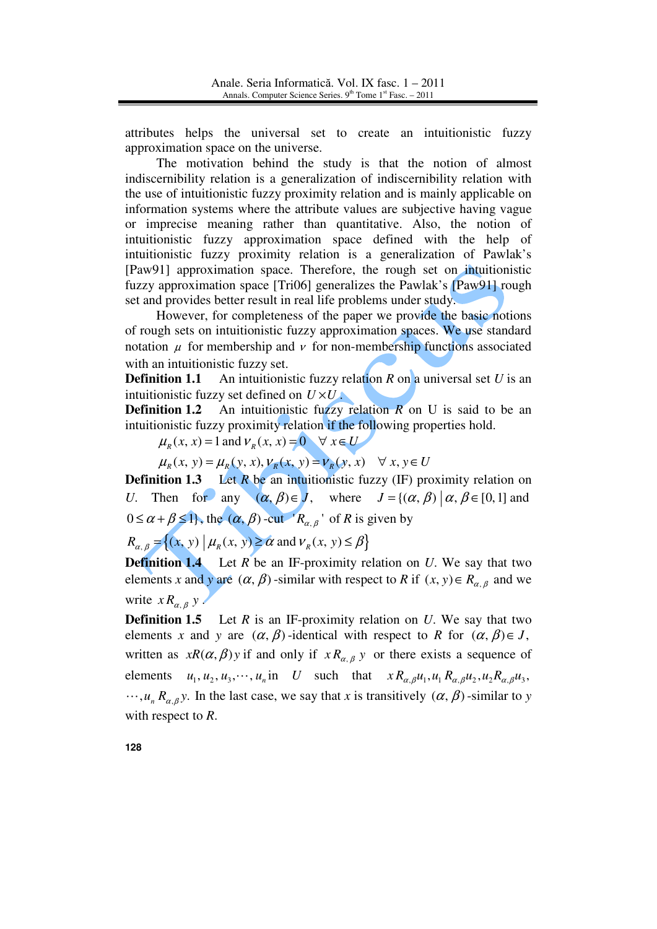attributes helps the universal set to create an intuitionistic fuzzy approximation space on the universe.

 The motivation behind the study is that the notion of almost indiscernibility relation is a generalization of indiscernibility relation with the use of intuitionistic fuzzy proximity relation and is mainly applicable on information systems where the attribute values are subjective having vague or imprecise meaning rather than quantitative. Also, the notion of intuitionistic fuzzy approximation space defined with the help of intuitionistic fuzzy proximity relation is a generalization of Pawlak's [Paw91] approximation space. Therefore, the rough set on intuitionistic fuzzy approximation space [Tri06] generalizes the Pawlak's [Paw91] rough set and provides better result in real life problems under study.

However, for completeness of the paper we provide the basic notions of rough sets on intuitionistic fuzzy approximation spaces. We use standard notation  $\mu$  for membership and  $\nu$  for non-membership functions associated with an intuitionistic fuzzy set.

**Definition 1.1** An intuitionistic fuzzy relation *R* on a universal set *U* is an intuitionistic fuzzy set defined on  $U \times U$ .

**Definition 1.2** An intuitionistic fuzzy relation *R* on U is said to be an intuitionistic fuzzy proximity relation if the following properties hold.

 $\mu_{\nu}(x, x) = 1$  and  $V_{\nu}(x, x) = 0 \quad \forall x \in U$ 

 $\mu_{R}(x, y) = \mu_{R}(y, x), \nu_{R}(x, y) = \nu_{R}(y, x) \quad \forall x, y \in U$ 

**Definition 1.3** Let *R* be an intuitionistic fuzzy (IF) proximity relation on *U*. Then for any  $(\alpha, \beta) \in J$ , where  $J = {(\alpha, \beta) | \alpha, \beta \in [0,1]}$  and  $0 \le \alpha + \beta \le 1$ , the  $(\alpha, \beta)$ -cut ' $R_{\alpha, \beta}$ ' of *R* is given by

 $R_{\alpha, \beta} = \{(x, y) | \mu_R(x, y) \ge \alpha \text{ and } \nu_R(x, y) \le \beta \}$ 

**Definition 1.4** Let *R* be an IF-proximity relation on *U*. We say that two elements *x* and *y* are  $(\alpha, \beta)$ -similar with respect to *R* if  $(x, y) \in R_{\alpha, \beta}$  and we write  $x R_{\alpha,\beta} y$ .

**Definition 1.5** Let *R* is an IF-proximity relation on *U*. We say that two elements *x* and *y* are  $(\alpha, \beta)$ -identical with respect to *R* for  $(\alpha, \beta) \in J$ , written as  $xR(\alpha, \beta)$  *y* if and only if  $xR_{\alpha, \beta}$  *y* or there exists a sequence of elements  $u_1, u_2, u_3, \dots, u_n$  in *U* such that  $x R_{\alpha,\beta} u_1, u_1 R_{\alpha,\beta} u_2, u_2 R_{\alpha,\beta} u_3$ ,  $\cdots$ ,  $u_n R_{\alpha,\beta}$ y. In the last case, we say that *x* is transitively  $(\alpha, \beta)$ -similar to *y* with respect to *R*.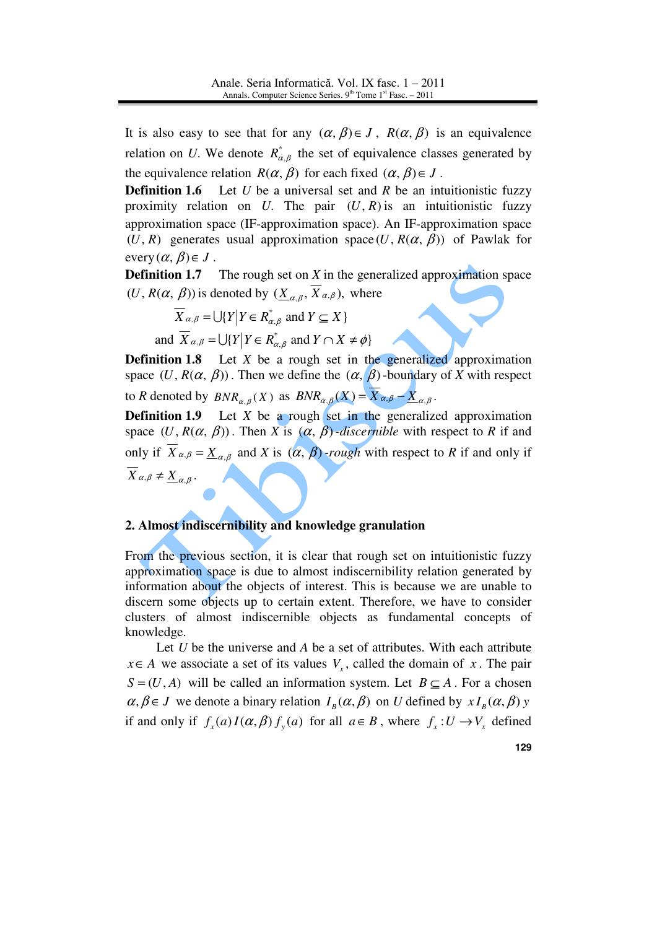It is also easy to see that for any  $(\alpha, \beta) \in J$ ,  $R(\alpha, \beta)$  is an equivalence relation on *U*. We denote  $R^*_{\alpha,\beta}$  the set of equivalence classes generated by the equivalence relation  $R(\alpha, \beta)$  for each fixed  $(\alpha, \beta) \in J$ .

**Definition 1.6** Let *U* be a universal set and *R* be an intuitionistic fuzzy proximity relation on *U*. The pair  $(U, R)$  is an intuitionistic fuzzy approximation space (IF-approximation space). An IF-approximation space (*U*, *R*) generates usual approximation space (*U*,  $R(\alpha, \beta)$ ) of Pawlak for every  $(\alpha, \beta) \in J$ .

**Definition 1.7** The rough set on *X* in the generalized approximation space  $(U, R(\alpha, \beta))$  is denoted by  $(\underline{X}_{\alpha,\beta}, X_{\alpha,\beta})$ , where

 $X_{\alpha,\beta} = \bigcup \{ Y \mid Y \in R^*_{\alpha,\beta} \text{ and } Y \subseteq X \}$ 

and  $X_{\alpha,\beta} = \bigcup \{ Y \mid Y \in R^*_{\alpha,\beta} \text{ and } Y \cap X \neq \emptyset \}$ 

**Definition 1.8** Let *X* be a rough set in the generalized approximation space  $(U, R(\alpha, \beta))$ . Then we define the  $(\alpha, \beta)$ -boundary of *X* with respect to *R* denoted by  $BNR_{\alpha,\beta}(X)$  as  $BNR_{\alpha,\beta}(X) = X_{\alpha,\beta} - \underline{X}_{\alpha,\beta}$ .

**Definition 1.9** Let *X* be a rough set in the generalized approximation space  $(U, R(\alpha, \beta))$ . Then *X* is  $(\alpha, \beta)$ *-discernible* with respect to *R* if and only if  $X_{\alpha,\beta} = \underline{X}_{\alpha,\beta}$  and *X* is  $(\alpha, \beta)$ -rough with respect to *R* if and only if  $X_{\alpha,\beta} \neq \underline{X}_{\alpha,\beta}$ .

# **2. Almost indiscernibility and knowledge granulation**

From the previous section, it is clear that rough set on intuitionistic fuzzy approximation space is due to almost indiscernibility relation generated by information about the objects of interest. This is because we are unable to discern some objects up to certain extent. Therefore, we have to consider clusters of almost indiscernible objects as fundamental concepts of knowledge.

Let *U* be the universe and *A* be a set of attributes. With each attribute  $x \in A$  we associate a set of its values  $V_x$ , called the domain of *x*. The pair  $S = (U, A)$  will be called an information system. Let  $B \subseteq A$ . For a chosen  $\alpha, \beta \in J$  we denote a binary relation  $I_{B}(\alpha, \beta)$  on *U* defined by  $xI_{B}(\alpha, \beta)$  *y* if and only if  $f_x(a)I(\alpha, \beta) f_y(a)$  for all  $a \in B$ , where  $f_x: U \to V_x$  defined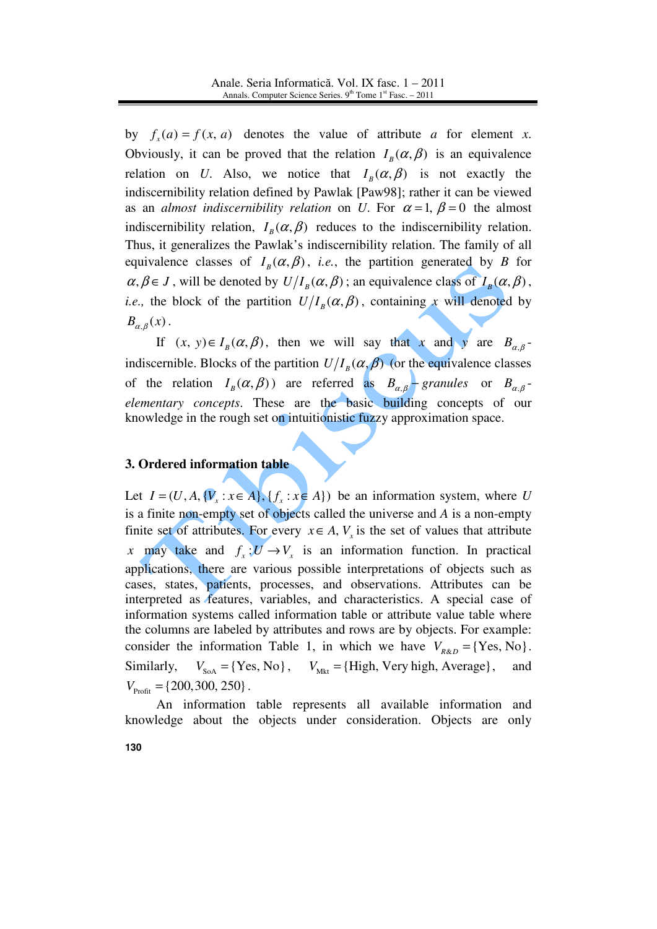by  $f_x(a) = f(x, a)$  denotes the value of attribute *a* for element *x*. Obviously, it can be proved that the relation  $I_B(\alpha, \beta)$  is an equivalence relation on *U*. Also, we notice that  $I_B(\alpha, \beta)$  is not exactly the indiscernibility relation defined by Pawlak [Paw98]; rather it can be viewed as an *almost indiscernibility relation* on *U*. For  $\alpha = 1$ ,  $\beta = 0$  the almost indiscernibility relation,  $I_B(\alpha, \beta)$  reduces to the indiscernibility relation. Thus, it generalizes the Pawlak's indiscernibility relation. The family of all equivalence classes of  $I_B(\alpha, \beta)$ , *i.e.*, the partition generated by *B* for  $\alpha, \beta \in J$ , will be denoted by  $U/I_B(\alpha, \beta)$ ; an equivalence class of  $I_B(\alpha, \beta)$ , *i.e.*, the block of the partition  $U/I_B(\alpha, \beta)$ , containing *x* will denoted by  $B_{\alpha,\beta}(x)$ .

If  $(x, y) \in I_B(\alpha, \beta)$ , then we will say that *x* and *y* are  $B_{\alpha, \beta}$ . indiscernible. Blocks of the partition  $U/I_B(\alpha, \beta)$  (or the equivalence classes of the relation  $I_B(\alpha, \beta)$  are referred as  $B_{\alpha, \beta}$  granules or  $B_{\alpha, \beta}$ . *elementary concepts*. These are the basic building concepts of our knowledge in the rough set on intuitionistic fuzzy approximation space.

# **3. Ordered information table**

Let  $I = (U, A, \{V_x : x \in A\}, \{f_x : x \in A\})$  be an information system, where *U* is a finite non-empty set of objects called the universe and *A* is a non-empty finite set of attributes. For every  $x \in A$ ,  $V_x$  is the set of values that attribute *x* may take and  $f_x: U \to V_x$  is an information function. In practical applications, there are various possible interpretations of objects such as cases, states, patients, processes, and observations. Attributes can be interpreted as features, variables, and characteristics. A special case of information systems called information table or attribute value table where the columns are labeled by attributes and rows are by objects. For example: consider the information Table 1, in which we have  $V_{R\&D} = \{Yes, No\}$ . Similarly,  $V_{S_0A} = {Yes, No}, V_{Mkt} = {High, Very high, Average}, and$  $V_{\text{Profit}} = \{200, 300, 250\}$ .

An information table represents all available information and knowledge about the objects under consideration. Objects are only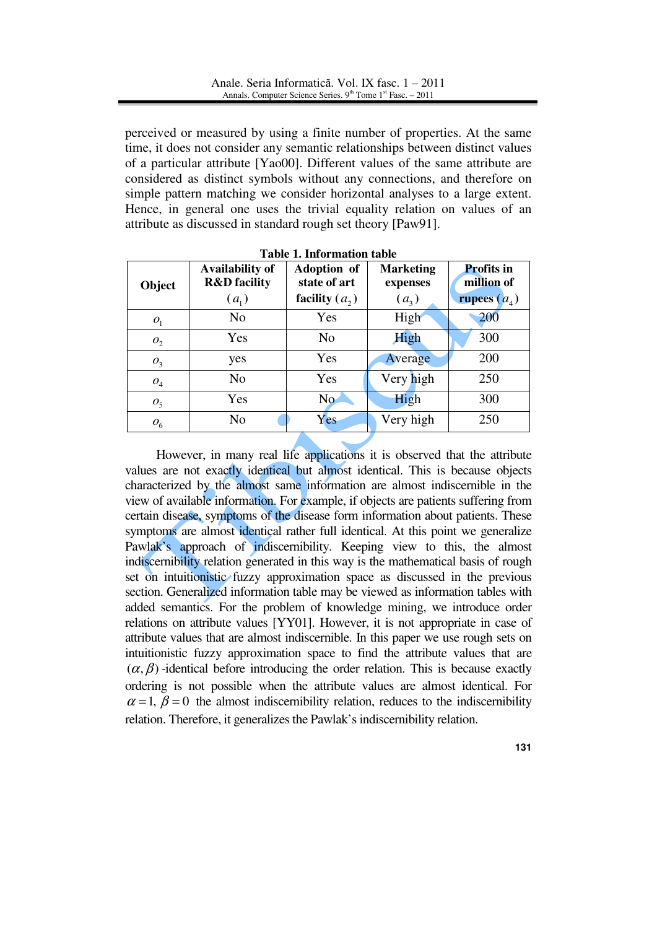perceived or measured by using a finite number of properties. At the same time, it does not consider any semantic relationships between distinct values of a particular attribute [Yao00]. Different values of the same attribute are considered as distinct symbols without any connections, and therefore on simple pattern matching we consider horizontal analyses to a large extent. Hence, in general one uses the trivial equality relation on values of an attribute as discussed in standard rough set theory [Paw91].

|                | <b>Table 1. Information table</b>                            |                                                        |                                         |                                                          |  |  |  |  |  |  |
|----------------|--------------------------------------------------------------|--------------------------------------------------------|-----------------------------------------|----------------------------------------------------------|--|--|--|--|--|--|
| Object         | <b>Availability of</b><br><b>R&amp;D</b> facility<br>$(a_1)$ | <b>Adoption</b> of<br>state of art<br>facility $(a_2)$ | <b>Marketing</b><br>expenses<br>$(a_3)$ | <b>Profits in</b><br>million of<br><b>rupees</b> $(a_4)$ |  |  |  |  |  |  |
| O <sub>1</sub> | N <sub>o</sub>                                               | Yes                                                    | High                                    | 200                                                      |  |  |  |  |  |  |
| $O_2$          | Yes                                                          | No                                                     | High                                    | 300                                                      |  |  |  |  |  |  |
| $O_3$          | yes                                                          | Yes                                                    | Average                                 | 200                                                      |  |  |  |  |  |  |
| O <sub>4</sub> | No                                                           | Yes                                                    | Very high                               | 250                                                      |  |  |  |  |  |  |
| O <sub>5</sub> | Yes                                                          | N <sub>o</sub>                                         | High                                    | 300                                                      |  |  |  |  |  |  |
| $o_{6}$        | No                                                           | Yes                                                    | Very high                               | 250                                                      |  |  |  |  |  |  |

However, in many real life applications it is observed that the attribute values are not exactly identical but almost identical. This is because objects characterized by the almost same information are almost indiscernible in the view of available information. For example, if objects are patients suffering from certain disease, symptoms of the disease form information about patients. These symptoms are almost identical rather full identical. At this point we generalize Pawlak's approach of indiscernibility. Keeping view to this, the almost indiscernibility relation generated in this way is the mathematical basis of rough set on intuitionistic fuzzy approximation space as discussed in the previous section. Generalized information table may be viewed as information tables with added semantics. For the problem of knowledge mining, we introduce order relations on attribute values [YY01]. However, it is not appropriate in case of attribute values that are almost indiscernible. In this paper we use rough sets on intuitionistic fuzzy approximation space to find the attribute values that are  $(\alpha, \beta)$  -identical before introducing the order relation. This is because exactly ordering is not possible when the attribute values are almost identical. For  $\alpha = 1, \beta = 0$  the almost indiscernibility relation, reduces to the indiscernibility relation. Therefore, it generalizes the Pawlak's indiscernibility relation.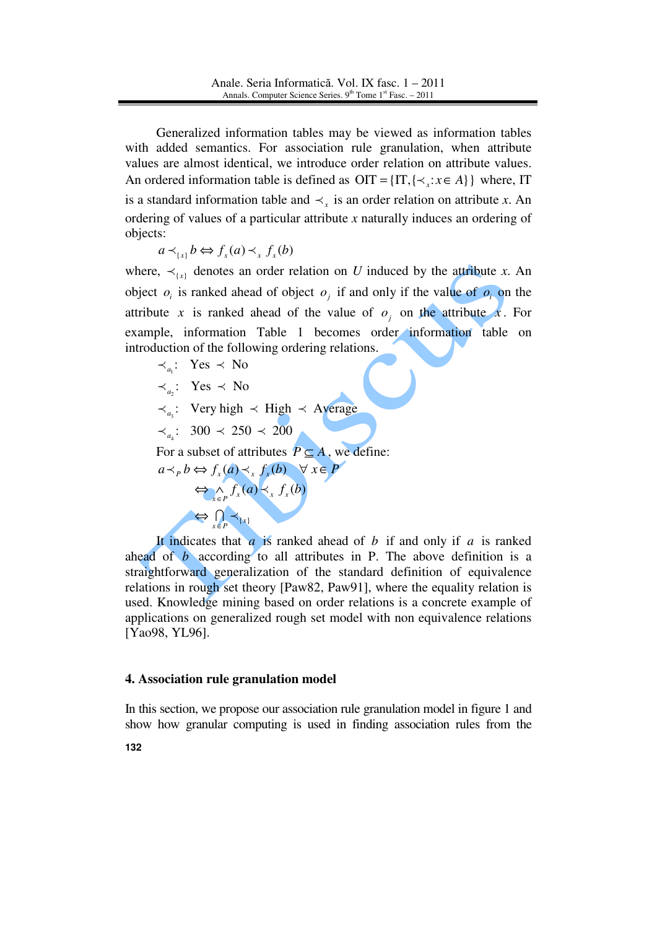Generalized information tables may be viewed as information tables with added semantics. For association rule granulation, when attribute values are almost identical, we introduce order relation on attribute values. An ordered information table is defined as  $OIT = \{IT, {\prec_x : x \in A} \}$  where, IT is a standard information table and  $\prec_x$  is an order relation on attribute *x*. An ordering of values of a particular attribute *x* naturally induces an ordering of objects:

$$
a \prec_{\{x\}} b \Leftrightarrow f_x(a) \prec_x f_x(b)
$$

where,  $\prec_{\{x\}}$  denotes an order relation on *U* induced by the attribute *x*. An object  $o_i$  is ranked ahead of object  $o_j$  if and only if the value of  $o_i$  on the attribute *x* is ranked ahead of the value of  $o_j$  on the attribute *x*. For example, information Table 1 becomes order information table on introduction of the following ordering relations.

$$
\prec_{a_1}: Yes \prec No
$$
  
\n
$$
\prec_{a_2}: Yes \prec No
$$
  
\n
$$
\prec_{a_3}: Very high \prec High \prec Average
$$
  
\n
$$
\prec_{a_4}: 300 \prec 250 \prec 200
$$
  
\nFor a subset of attributes  $P \subseteq A$ , we define:  
\n
$$
a \prec_{P} b \Leftrightarrow f_x(a) \prec_x f_x(b) \quad \forall x \in P
$$
  
\n
$$
\Leftrightarrow \bigwedge_{x \in P} f_x(a) \prec_x f_x(b)
$$
  
\n
$$
\Leftrightarrow \bigcap_{x \in P} \prec_{\{x\}}
$$

It indicates that  $\overline{a}$  is ranked ahead of  $\overline{b}$  if and only if  $\overline{a}$  is ranked ahead of *b* according to all attributes in P. The above definition is a straightforward generalization of the standard definition of equivalence relations in rough set theory [Paw82, Paw91], where the equality relation is used. Knowledge mining based on order relations is a concrete example of applications on generalized rough set model with non equivalence relations [Yao98, YL96].

## **4. Association rule granulation model**

In this section, we propose our association rule granulation model in figure 1 and show how granular computing is used in finding association rules from the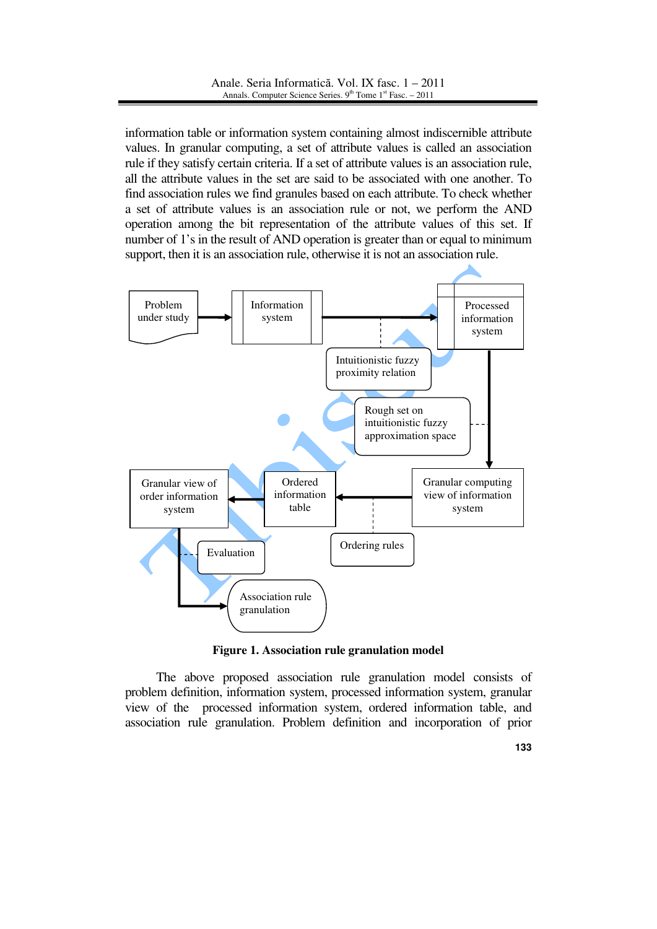information table or information system containing almost indiscernible attribute values. In granular computing, a set of attribute values is called an association rule if they satisfy certain criteria. If a set of attribute values is an association rule, all the attribute values in the set are said to be associated with one another. To find association rules we find granules based on each attribute. To check whether a set of attribute values is an association rule or not, we perform the AND operation among the bit representation of the attribute values of this set. If number of 1's in the result of AND operation is greater than or equal to minimum support, then it is an association rule, otherwise it is not an association rule.



**Figure 1. Association rule granulation model**

The above proposed association rule granulation model consists of problem definition, information system, processed information system, granular view of the processed information system, ordered information table, and association rule granulation. Problem definition and incorporation of prior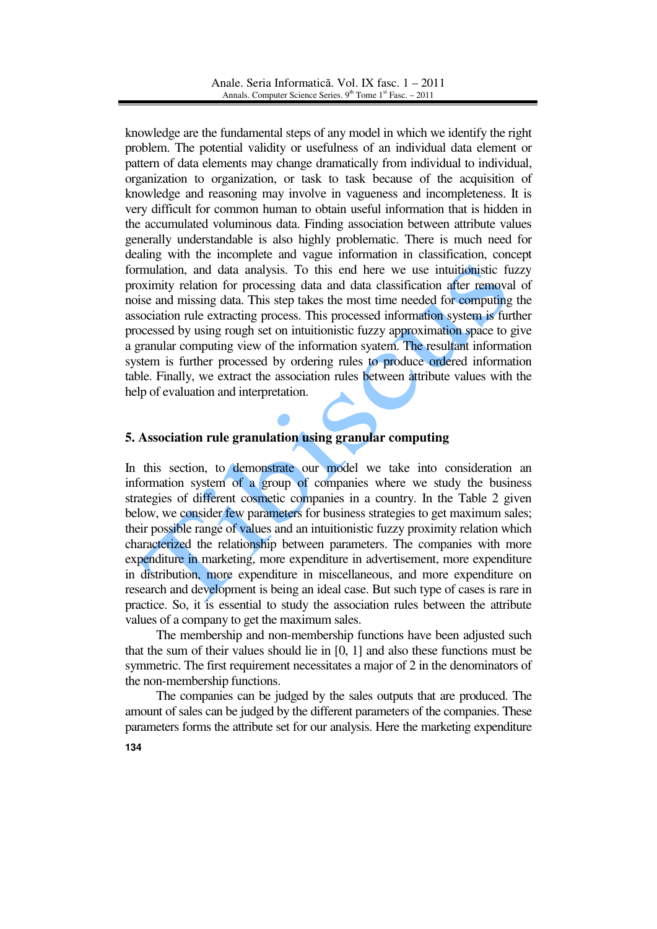knowledge are the fundamental steps of any model in which we identify the right problem. The potential validity or usefulness of an individual data element or pattern of data elements may change dramatically from individual to individual, organization to organization, or task to task because of the acquisition of knowledge and reasoning may involve in vagueness and incompleteness. It is very difficult for common human to obtain useful information that is hidden in the accumulated voluminous data. Finding association between attribute values generally understandable is also highly problematic. There is much need for dealing with the incomplete and vague information in classification, concept formulation, and data analysis. To this end here we use intuitionistic fuzzy proximity relation for processing data and data classification after removal of noise and missing data. This step takes the most time needed for computing the association rule extracting process. This processed information system is further processed by using rough set on intuitionistic fuzzy approximation space to give a granular computing view of the information syatem. The resultant information system is further processed by ordering rules to produce ordered information table. Finally, we extract the association rules between attribute values with the help of evaluation and interpretation.

## **5. Association rule granulation using granular computing**

In this section, to demonstrate our model we take into consideration an information system of a group of companies where we study the business strategies of different cosmetic companies in a country. In the Table 2 given below, we consider few parameters for business strategies to get maximum sales; their possible range of values and an intuitionistic fuzzy proximity relation which characterized the relationship between parameters. The companies with more expenditure in marketing, more expenditure in advertisement, more expenditure in distribution, more expenditure in miscellaneous, and more expenditure on research and development is being an ideal case. But such type of cases is rare in practice. So, it is essential to study the association rules between the attribute values of a company to get the maximum sales.

The membership and non-membership functions have been adjusted such that the sum of their values should lie in [0, 1] and also these functions must be symmetric. The first requirement necessitates a major of 2 in the denominators of the non-membership functions.

The companies can be judged by the sales outputs that are produced. The amount of sales can be judged by the different parameters of the companies. These parameters forms the attribute set for our analysis. Here the marketing expenditure

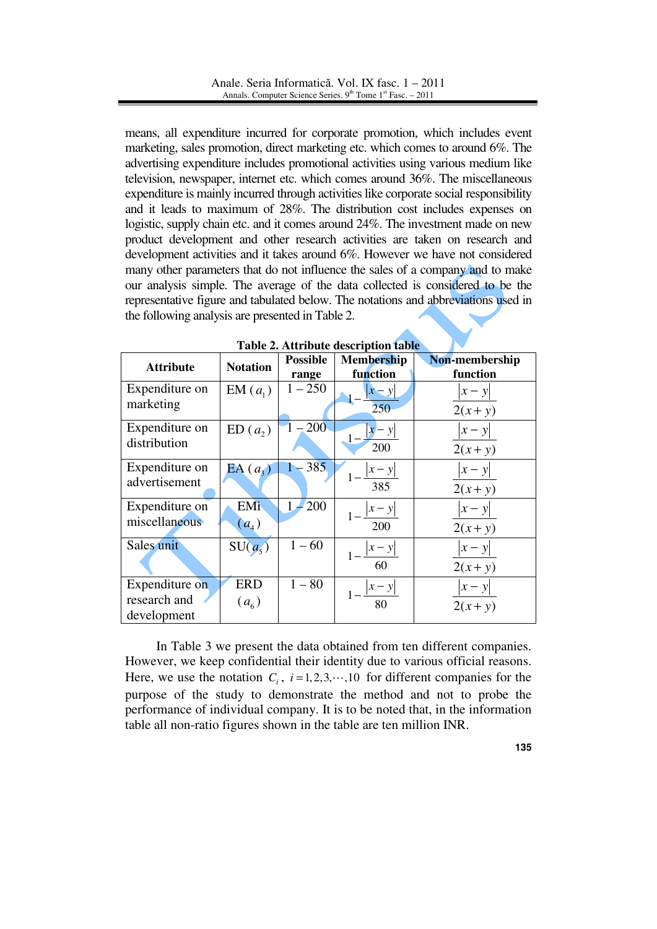means, all expenditure incurred for corporate promotion, which includes event marketing, sales promotion, direct marketing etc. which comes to around 6%. The advertising expenditure includes promotional activities using various medium like television, newspaper, internet etc. which comes around 36%. The miscellaneous expenditure is mainly incurred through activities like corporate social responsibility and it leads to maximum of 28%. The distribution cost includes expenses on logistic, supply chain etc. and it comes around 24%. The investment made on new product development and other research activities are taken on research and development activities and it takes around 6%. However we have not considered many other parameters that do not influence the sales of a company and to make our analysis simple. The average of the data collected is considered to be the representative figure and tabulated below. The notations and abbreviations used in the following analysis are presented in Table 2.

| <b>Attribute</b>                              | <b>Notation</b>         | <b>Possible</b><br>range | <b>Membership</b><br>function | Non-membership<br>function |
|-----------------------------------------------|-------------------------|--------------------------|-------------------------------|----------------------------|
| Expenditure on<br>marketing                   | $EM(a_1)$               | $1 - 250$                | $ x-y $<br>250                | $ x-y $<br>$2(x+y)$        |
| Expenditure on<br>distribution                | ED(a, )                 | $-200$                   | 200                           | $ x-y $<br>$2(x + y)$      |
| Expenditure on<br>advertisement               | $EA\left(a_{3}\right)$  | $-385$                   | 385                           | $ x-y $<br>$2(x+y)$        |
| Expenditure on<br>miscellaneous               | EMi<br>$(a_4)$          | 200                      | 200                           | $ x-y $<br>$2(x + y)$      |
| Sales unit                                    | $SU(a_5)$               | $1 - 60$                 | 60                            | $ x-y $<br>$2(x+y)$        |
| Expenditure on<br>research and<br>development | <b>ERD</b><br>$(a_{6})$ | $1 - 80$                 | 80                            | $ x-y $<br>$2(x+y)$        |

|  |  |  | Table 2. Attribute description table |  |
|--|--|--|--------------------------------------|--|
|--|--|--|--------------------------------------|--|

In Table 3 we present the data obtained from ten different companies. However, we keep confidential their identity due to various official reasons. Here, we use the notation  $C_i$ ,  $i = 1, 2, 3, \dots, 10$  for different companies for the purpose of the study to demonstrate the method and not to probe the performance of individual company. It is to be noted that, in the information table all non-ratio figures shown in the table are ten million INR.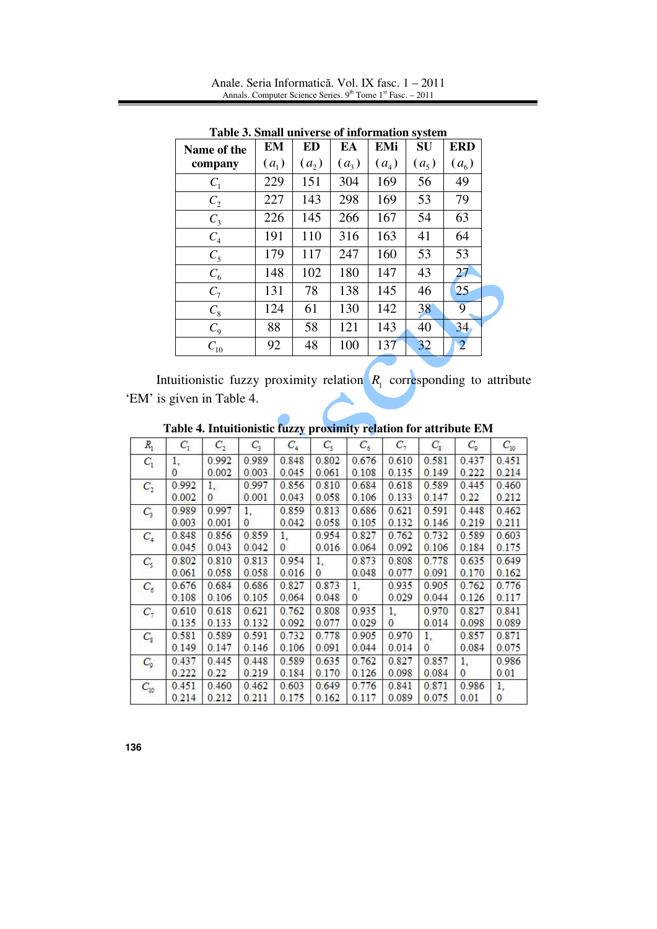Anale. Seria Informatică. Vol. IX fasc. 1 – 2011 Annals. Computer Science Series.  $9<sup>th</sup>$  Tome  $1<sup>st</sup>$  Fasc. – 2011

| Name of the    | EM      | ED        | EA      | <b>EMi</b> | $\cdot$ $\cdot$<br>SU | <b>ERD</b>     |
|----------------|---------|-----------|---------|------------|-----------------------|----------------|
| company        | $(a_1)$ | $(a_{2})$ | $(a_3)$ | $(a_4)$    | $(a_5)$               | $(a_{6})$      |
| $C_1$          | 229     | 151       | 304     | 169        | 56                    | 49             |
| C <sub>2</sub> | 227     | 143       | 298     | 169        | 53                    | 79             |
| $C_3$          | 226     | 145       | 266     | 167        | 54                    | 63             |
| $C_4$          | 191     | 110       | 316     | 163        | 41                    | 64             |
| $C_5$          | 179     | 117       | 247     | 160        | 53                    | 53             |
| $C_6$          | 148     | 102       | 180     | 147        | 43                    | 27             |
| $C_7$          | 131     | 78        | 138     | 145        | 46                    | 25             |
| $C_8$          | 124     | 61        | 130     | 142        | 38                    | 9              |
| $C_{9}$        | 88      | 58        | 121     | 143        | 40                    | 34             |
| $C_{10}$       | 92      | 48        | 100     | 137        | 32                    | $\overline{2}$ |

**Table 3. Small universe of information system** 

Intuitionistic fuzzy proximity relation  $R_1$  corresponding to attribute 'EM' is given in Table 4.

|             | Table <del>7</del> . Intentionistic fuzzy proximity relation for attribute Ent. |              |          |          |              |              |              |              |                |              |
|-------------|---------------------------------------------------------------------------------|--------------|----------|----------|--------------|--------------|--------------|--------------|----------------|--------------|
| $R_{1}$     | $C_1$                                                                           | $C_{2}$      | $C_{3}$  | $C_4$    | $C_{5}$      | $C_6$        | $C_7$        | $C_{\rm s}$  | $C_{\rm g}$    | $C_{10}$     |
| $C_1$       | 1,                                                                              | 0.992        | 0.989    | 0.848    | 0.802        | 0.676        | 0.610        | 0.581        | 0.437          | 0.451        |
|             | $\mathbf{0}$                                                                    | 0.002        | 0.003    | 0.045    | 0.061        | 0.108        | 0.135        | 0.149        | 0.222          | 0.214        |
| $C_{2}$     | 0.992                                                                           | 1.           | 0.997    | 0.856    | 0.810        | 0.684        | 0.618        | 0.589        | 0.445          | 0.460        |
|             | 0.002                                                                           | $\mathbf{0}$ | 0.001    | 0.043    | 0.058        | 0.106        | 0.133        | 0.147        | 0.22           | 0.212        |
| $C_{3}$     | 0.989                                                                           | 0.997        | 1.       | 0.859    | 0.813        | 0.686        | 0.621        | 0.591        | 0.448          | 0.462        |
|             | 0.003                                                                           | 0.001        | $\Omega$ | 0.042    | 0.058        | 0.105        | 0.132        | 0.146        | 0.219          | 0.211        |
| $C_4$       | 0.848                                                                           | 0.856        | 0.859    | 1.       | 0.954        | 0.827        | 0.762        | 0.732        | 0.589          | 0.603        |
|             | 0.045                                                                           | 0.043        | 0.042    | $\Omega$ | 0.016        | 0.064        | 0.092        | 0.106        | 0.184          | 0.175        |
| $C_{5}$     | 0.802                                                                           | 0.810        | 0.813    | 0.954    | 1.           | 0.873        | 0.808        | 0.778        | 0.635          | 0.649        |
|             | 0.061                                                                           | 0.058        | 0.058    | 0.016    | $\mathbf{0}$ | 0.048        | 0.077        | 0.091        | 0.170          | 0.162        |
| $C_6$       | 0.676                                                                           | 0.684        | 0.686    | 0.827    | 0.873        | 1.           | 0.935        | 0.905        | 0.762          | 0.776        |
|             | 0.108                                                                           | 0.106        | 0.105    | 0.064    | 0.048        | $\mathbf{0}$ | 0.029        | 0.044        | 0.126          | 0.117        |
| $C_7$       | 0.610                                                                           | 0.618        | 0.621    | 0.762    | 0.808        | 0.935        | 1,           | 0.970        | 0.827          | 0.841        |
|             | 0.135                                                                           | 0.133        | 0.132    | 0.092    | 0.077        | 0.029        | $\mathbf{0}$ | 0.014        | 0.098          | 0.089        |
| $C_{\rm g}$ | 0.581                                                                           | 0.589        | 0.591    | 0.732    | 0.778        | 0.905        | 0.970        | 1.           | 0.857          | 0.871        |
|             | 0.149                                                                           | 0.147        | 0.146    | 0.106    | 0.091        | 0.044        | 0.014        | $\mathbf{0}$ | 0.084          | 0.075        |
| $C_{9}$     | 0.437                                                                           | 0.445        | 0.448    | 0.589    | 0.635        | 0.762        | 0.827        | 0.857        | 1.             | 0.986        |
|             | 0.222                                                                           | 0.22         | 0.219    | 0.184    | 0.170        | 0.126        | 0.098        | 0.084        | $\overline{0}$ | 0.01         |
| $C_{10}$    | 0.451                                                                           | 0.460        | 0.462    | 0.603    | 0.649        | 0.776        | 0.841        | 0.871        | 0.986          | 1,           |
|             | 0.214                                                                           | 0.212        | 0.211    | 0.175    | 0.162        | 0.117        | 0.089        | 0.075        | 0.01           | $\mathbf{0}$ |

**Table 4. Intuitionistic fuzzy proximity relation for attribute EM**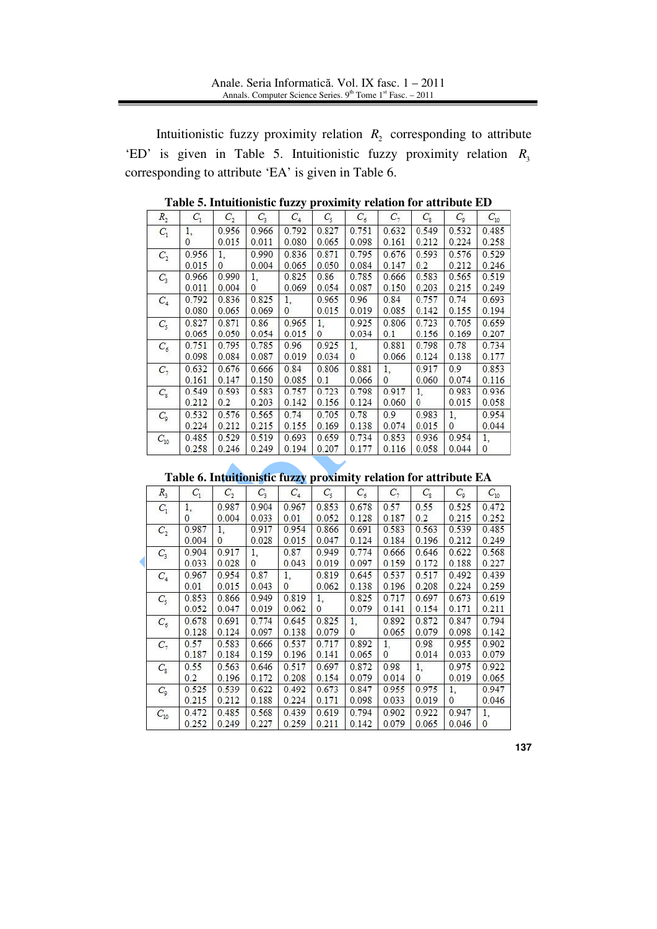Intuitionistic fuzzy proximity relation  $R_2$  corresponding to attribute 'ED' is given in Table 5. Intuitionistic fuzzy proximity relation  $R_3$ corresponding to attribute 'EA' is given in Table 6.

| $R_{2}$        | $C_1$ | $C_{2}$  | $C_{3}$      | $C_4$    | $C_5$        | $C_{6}$      | $C_{\gamma}$ | $C_{\rm s}$ | $C_{9}$ | $C_{10}$     |
|----------------|-------|----------|--------------|----------|--------------|--------------|--------------|-------------|---------|--------------|
| $C_1$          | 1.    | 0.956    | 0.966        | 0.792    | 0.827        | 0.751        | 0.632        | 0.549       | 0.532   | 0.485        |
|                | 0     | 0.015    | 0.011        | 0.080    | 0.065        | 0.098        | 0.161        | 0.212       | 0.224   | 0.258        |
| $C_{2}$        | 0.956 | 1.       | 0.990        | 0.836    | 0.871        | 0.795        | 0.676        | 0.593       | 0.576   | 0.529        |
|                | 0.015 | $\Omega$ | 0.004        | 0.065    | 0.050        | 0.084        | 0.147        | 0.2         | 0.212   | 0.246        |
| $C_{3}$        | 0.966 | 0.990    | 1.           | 0.825    | 0.86         | 0.785        | 0.666        | 0.583       | 0.565   | 0.519        |
|                | 0.011 | 0.004    | $\mathbf{0}$ | 0.069    | 0.054        | 0.087        | 0.150        | 0.203       | 0.215   | 0.249        |
| C <sub>4</sub> | 0.792 | 0.836    | 0.825        | 1.       | 0.965        | 0.96         | 0.84         | 0.757       | 0.74    | 0.693        |
|                | 0.080 | 0.065    | 0.069        | $\Omega$ | 0.015        | 0.019        | 0.085        | 0.142       | 0.155   | 0.194        |
| $C_{5}$        | 0.827 | 0.871    | 0.86         | 0.965    | 1.           | 0.925        | 0.806        | 0.723       | 0.705   | 0.659        |
|                | 0.065 | 0.050    | 0.054        | 0.015    | $\mathbf{0}$ | 0.034        | 0.1          | 0.156       | 0.169   | 0.207        |
| $C_6$          | 0.751 | 0.795    | 0.785        | 0.96     | 0.925        | 1.           | 0.881        | 0.798       | 0.78    | 0.734        |
|                | 0.098 | 0.084    | 0.087        | 0.019    | 0.034        | $\mathbf{0}$ | 0.066        | 0.124       | 0.138   | 0.177        |
| $C_7$          | 0.632 | 0.676    | 0.666        | 0.84     | 0.806        | 0.881        | 1.           | 0.917       | 0.9     | 0.853        |
|                | 0.161 | 0.147    | 0.150        | 0.085    | 0.1          | 0.066        | $\mathbf{0}$ | 0.060       | 0.074   | 0.116        |
| $C_{8}$        | 0.549 | 0.593    | 0.583        | 0.757    | 0.723        | 0.798        | 0.917        | 1.          | 0.983   | 0.936        |
|                | 0.212 | 0.2      | 0.203        | 0.142    | 0.156        | 0.124        | 0.060        | $\Omega$    | 0.015   | 0.058        |
| $C_{9}$        | 0.532 | 0.576    | 0.565        | 0.74     | 0.705        | 0.78         | 0.9          | 0.983       | 1.      | 0.954        |
|                | 0.224 | 0.212    | 0.215        | 0.155    | 0.169        | 0.138        | 0.074        | 0.015       | 0       | 0.044        |
| $C_{10}$       | 0.485 | 0.529    | 0.519        | 0.693    | 0.659        | 0.734        | 0.853        | 0.936       | 0.954   | 1.           |
|                | 0.258 | 0.246    | 0.249        | 0.194    | 0.207        | 0.177        | 0.116        | 0.058       | 0.044   | $\mathbf{0}$ |

**Table 5. Intuitionistic fuzzy proximity relation for attribute ED** 

**Table 6. Intuitionistic fuzzy proximity relation for attribute EA** 

| $R_{3}$  | $C_1$ | $C_{2}$      | $C_{3}$ | $C_4$          | $C_{5}$      | $C_{\epsilon}$ | $C_7$        | $C_{\rm s}$  | $C_{9}$      | $C_{10}$     |
|----------|-------|--------------|---------|----------------|--------------|----------------|--------------|--------------|--------------|--------------|
| $C_1$    | 1.    | 0.987        | 0.904   | 0.967          | 0.853        | 0.678          | 0.57         | 0.55         | 0.525        | 0.472        |
|          | 0     | 0.004        | 0.033   | 0.01           | 0.052        | 0.128          | 0.187        | 0.2          | 0.215        | 0.252        |
| $C_2$    | 0.987 | 1.           | 0.917   | 0.954          | 0.866        | 0.691          | 0.583        | 0.563        | 0.539        | 0.485        |
|          | 0.004 | $\mathbf{0}$ | 0.028   | 0.015          | 0.047        | 0.124          | 0.184        | 0.196        | 0.212        | 0.249        |
| $C_{3}$  | 0.904 | 0.917        | 1.      | 0.87           | 0.949        | 0.774          | 0.666        | 0.646        | 0.622        | 0.568        |
|          | 0.033 | 0.028        | 0       | 0.043          | 0.019        | 0.097          | 0.159        | 0.172        | 0.188        | 0.227        |
| $C_4$    | 0.967 | 0.954        | 0.87    | 1.             | 0.819        | 0.645          | 0.537        | 0.517        | 0.492        | 0.439        |
|          | 0.01  | 0.015        | 0.043   | $\overline{0}$ | 0.062        | 0.138          | 0.196        | 0.208        | 0.224        | 0.259        |
| $C_{5}$  | 0.853 | 0.866        | 0.949   | 0.819          | 1.           | 0.825          | 0.717        | 0.697        | 0.673        | 0.619        |
|          | 0.052 | 0.047        | 0.019   | 0.062          | $\mathbf{0}$ | 0.079          | 0.141        | 0.154        | 0.171        | 0.211        |
| $C_6$    | 0.678 | 0.691        | 0.774   | 0.645          | 0.825        | 1.             | 0.892        | 0.872        | 0.847        | 0.794        |
|          | 0.128 | 0.124        | 0.097   | 0.138          | 0.079        | $\theta$       | 0.065        | 0.079        | 0.098        | 0.142        |
| $C_7$    | 0.57  | 0.583        | 0.666   | 0.537          | 0.717        | 0.892          | 1.           | 0.98         | 0.955        | 0.902        |
|          | 0.187 | 0.184        | 0.159   | 0.196          | 0.141        | 0.065          | $\mathbf{0}$ | 0.014        | 0.033        | 0.079        |
| $C_{R}$  | 0.55  | 0.563        | 0.646   | 0.517          | 0.697        | 0.872          | 0.98         | 1.           | 0.975        | 0.922        |
|          | 0.2   | 0.196        | 0.172   | 0.208          | 0.154        | 0.079          | 0.014        | $\mathbf{0}$ | 0.019        | 0.065        |
| $C_{9}$  | 0.525 | 0.539        | 0.622   | 0.492          | 0.673        | 0.847          | 0.955        | 0.975        | 1.           | 0.947        |
|          | 0.215 | 0.212        | 0.188   | 0.224          | 0.171        | 0.098          | 0.033        | 0.019        | $\mathbf{0}$ | 0.046        |
| $C_{10}$ | 0.472 | 0.485        | 0.568   | 0.439          | 0.619        | 0.794          | 0.902        | 0.922        | 0.947        | 1.           |
|          | 0.252 | 0.249        | 0.227   | 0.259          | 0.211        | 0.142          | 0.079        | 0.065        | 0.046        | $\mathbf{0}$ |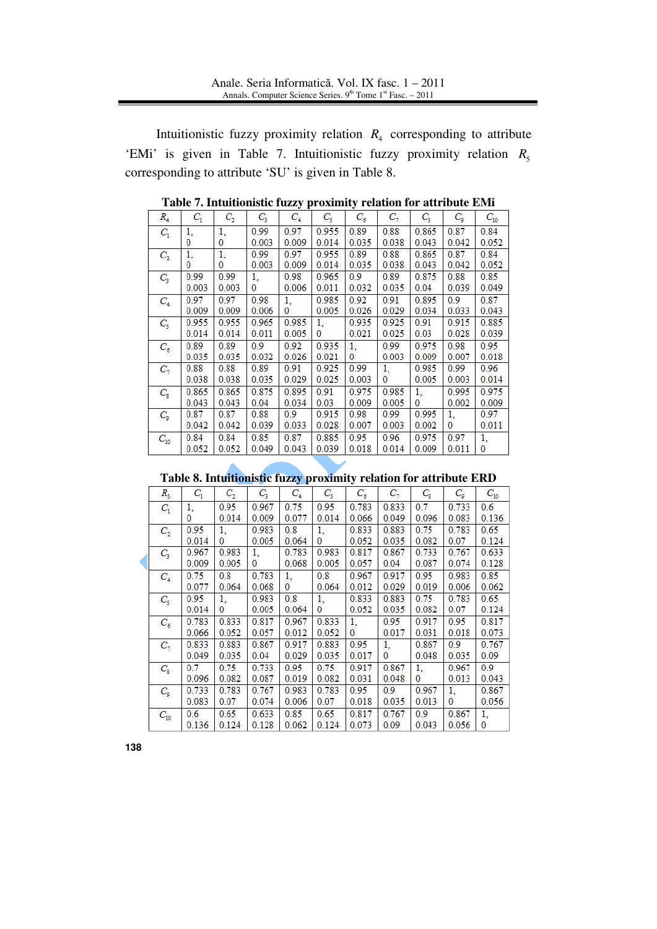Intuitionistic fuzzy proximity relation  $R_4$  corresponding to attribute 'EMi' is given in Table 7. Intuitionistic fuzzy proximity relation  $R_5$ corresponding to attribute 'SU' is given in Table 8.

| $R_4$          | $C_1$ | $C_{2}$ | $C_{3}$      | $C_4$    | $C_{5}$      | $C_{\delta}$ | С,           | $C_{8}$  | $C_{9}$      | $C_{10}$ |
|----------------|-------|---------|--------------|----------|--------------|--------------|--------------|----------|--------------|----------|
| $C_1$          | 1.    | 1,      | 0.99         | 0.97     | 0.955        | 0.89         | 0.88         | 0.865    | 0.87         | 0.84     |
|                | 0     | 0       | 0.003        | 0.009    | 0.014        | 0.035        | 0.038        | 0.043    | 0.042        | 0.052    |
| $C_{2}$        | 1.    | 1,      | 0.99         | 0.97     | 0.955        | 0.89         | 0.88         | 0.865    | 0.87         | 0.84     |
|                | 0     | 0       | 0.003        | 0.009    | 0.014        | 0.035        | 0.038        | 0.043    | 0.042        | 0.052    |
| C <sub>3</sub> | 0.99  | 0.99    | 1.           | 0.98     | 0.965        | 0.9          | 0.89         | 0.875    | 0.88         | 0.85     |
|                | 0.003 | 0.003   | $\mathbf{0}$ | 0.006    | 0.011        | 0.032        | 0.035        | 0.04     | 0.039        | 0.049    |
| $C_4$          | 0.97  | 0.97    | 0.98         | 1,       | 0.985        | 0.92         | 0.91         | 0.895    | 0.9          | 0.87     |
|                | 0.009 | 0.009   | 0.006        | $\Omega$ | 0.005        | 0.026        | 0.029        | 0.034    | 0.033        | 0.043    |
| $C_{5}$        | 0.955 | 0.955   | 0.965        | 0.985    | 1.           | 0.935        | 0.925        | 0.91     | 0.915        | 0.885    |
|                | 0.014 | 0.014   | 0.011        | 0.005    | $\mathbf{0}$ | 0.021        | 0.025        | 0.03     | 0.028        | 0.039    |
| $C_6$          | 0.89  | 0.89    | 0.9          | 0.92     | 0.935        | 1.           | 0.99         | 0.975    | 0.98         | 0.95     |
|                | 0.035 | 0.035   | 0.032        | 0.026    | 0.021        | $\mathbf{0}$ | 0.003        | 0.009    | 0.007        | 0.018    |
| $C_7$          | 0.88  | 0.88    | 0.89         | 0.91     | 0.925        | 0.99         | 1.           | 0.985    | 0.99         | 0.96     |
|                | 0.038 | 0.038   | 0.035        | 0.029    | 0.025        | 0.003        | $\mathbf{0}$ | 0.005    | 0.003        | 0.014    |
| $C_{R}$        | 0.865 | 0.865   | 0.875        | 0.895    | 0.91         | 0.975        | 0.985        | 1.       | 0.995        | 0.975    |
|                | 0.043 | 0.043   | 0.04         | 0.034    | 0.03         | 0.009        | 0.005        | $\Omega$ | 0.002        | 0.009    |
| $C_{9}$        | 0.87  | 0.87    | 0.88         | 0.9      | 0.915        | 0.98         | 0.99         | 0.995    | 1.           | 0.97     |
|                | 0.042 | 0.042   | 0.039        | 0.033    | 0.028        | 0.007        | 0.003        | 0.002    | $\mathbf{0}$ | 0.011    |
| $C_{10}$       | 0.84  | 0.84    | 0.85         | 0.87     | 0.885        | 0.95         | 0.96         | 0.975    | 0.97         | 1.       |
|                | 0.052 | 0.052   | 0.049        | 0.043    | 0.039        | 0.018        | 0.014        | 0.009    | 0.011        | $\Omega$ |

**Table 7. Intuitionistic fuzzy proximity relation for attribute EMi**

**Table 8. Intuitionistic fuzzy proximity relation for attribute ERD**

| $R_{5}$  | $C_1$              | $C_2$              | $C_{3}$        | $C_4$          | $C_{5}$            | $C_{5}$        | $C_7$              | $C_{\rm s}$        | $C_{9}$        | $C_{10}$           |
|----------|--------------------|--------------------|----------------|----------------|--------------------|----------------|--------------------|--------------------|----------------|--------------------|
| $C_1$    | 1.<br>$\mathbf{0}$ | 0.95<br>0.014      | 0.967<br>0.009 | 0.75<br>0.077  | 0.95<br>0.014      | 0.783<br>0.066 | 0.833<br>0.049     | 0.7<br>0.096       | 0.733<br>0.083 | 0.6<br>0.136       |
| $C_{2}$  | 0.95<br>0.014      | 1.<br>$\mathbf{0}$ | 0.983<br>0.005 | 0.8<br>0.064   | 1.<br>$\mathbf{0}$ | 0.833<br>0.052 | 0.883<br>0.035     | 0.75<br>0.082      | 0.783<br>0.07  | 0.65<br>0.124      |
| $C_{3}$  | 0.967<br>0.009     | 0.983<br>0.005     | 1.<br>0        | 0.783<br>0.068 | 0.983<br>0.005     | 0.817<br>0.057 | 0.867<br>0.04      | 0.733<br>0.087     | 0.767<br>0.074 | 0.633<br>0.128     |
| $C_4$    | 0.75<br>0.077      | 0.8<br>0.064       | 0.783<br>0.068 | 1.<br>$\Omega$ | 0.8<br>0.064       | 0.967<br>0.012 | 0.917<br>0.029     | 0.95<br>0.019      | 0.983<br>0.006 | 0.85<br>0.062      |
| $C_{5}$  | 0.95<br>0.014      | 1.<br>$\Omega$     | 0.983<br>0.005 | 0.8<br>0.064   | 1.<br>$\Omega$     | 0.833<br>0.052 | 0.883<br>0.035     | 0.75<br>0.082      | 0.783<br>0.07  | 0.65<br>0.124      |
| $C_6$    | 0.783<br>0.066     | 0.833<br>0.052     | 0.817<br>0.057 | 0.967<br>0.012 | 0.833<br>0.052     | 1.<br>$\Omega$ | 0.95<br>0.017      | 0.917<br>0.031     | 0.95<br>0.018  | 0.817<br>0.073     |
| $C_7$    | 0.833<br>0.049     | 0.883<br>0.035     | 0.867<br>0.04  | 0.917<br>0.029 | 0.883<br>0.035     | 0.95<br>0.017  | 1.<br>$\mathbf{0}$ | 0.867<br>0.048     | 0.9<br>0.035   | 0.767<br>0.09      |
| $C_{R}$  | 0.7<br>0.096       | 0.75<br>0.082      | 0.733<br>0.087 | 0.95<br>0.019  | 0.75<br>0.082      | 0.917<br>0.031 | 0.867<br>0.048     | 1.<br>$\mathbf{0}$ | 0.967<br>0.013 | 0.9<br>0.043       |
| $C_{9}$  | 0.733<br>0.083     | 0.783<br>0.07      | 0.767<br>0.074 | 0.983<br>0.006 | 0.783<br>0.07      | 0.95<br>0.018  | 0.9<br>0.035       | 0.967<br>0.013     | 1.<br>$\Omega$ | 0.867<br>0.056     |
| $C_{10}$ | 0.6<br>0.136       | 0.65<br>0.124      | 0.633<br>0.128 | 0.85<br>0.062  | 0.65<br>0.124      | 0.817<br>0.073 | 0.767<br>0.09      | 0.9<br>0.043       | 0.867<br>0.056 | 1,<br>$\mathbf{0}$ |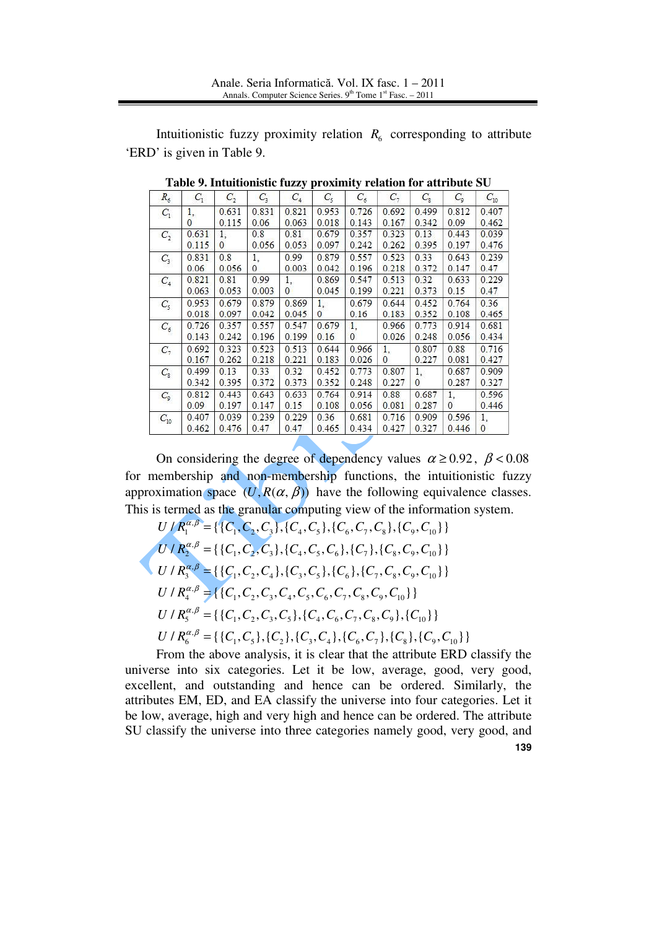Intuitionistic fuzzy proximity relation  $R_6$  corresponding to attribute 'ERD' is given in Table 9.

| $R_6$          | $C_1$    | $C_{2}$      | $C_{3}$  | . .<br>$C_4$   | $C_{5}$  | $C_6$    | $C_{\tau}$   | $C_{\rm s}$  | $C_{9}$      | $C_{10}$     |
|----------------|----------|--------------|----------|----------------|----------|----------|--------------|--------------|--------------|--------------|
| $C_1$          | 1.       | 0.631        | 0.831    | 0.821          | 0.953    | 0.726    | 0.692        | 0.499        | 0.812        | 0.407        |
|                | $\Omega$ | 0.115        | 0.06     | 0.063          | 0.018    | 0.143    | 0.167        | 0.342        | 0.09         | 0.462        |
| C <sub>2</sub> | 0.631    | 1.           | 0.8      | 0.81           | 0.679    | 0.357    | 0.323        | 0.13         | 0.443        | 0.039        |
|                | 0.115    | $\mathbf{0}$ | 0.056    | 0.053          | 0.097    | 0.242    | 0.262        | 0.395        | 0.197        | 0.476        |
| $C_{3}$        | 0.831    | 0.8          | 1,       | 0.99           | 0.879    | 0.557    | 0.523        | 0.33         | 0.643        | 0.239        |
|                | 0.06     | 0.056        | $\Omega$ | 0.003          | 0.042    | 0.196    | 0.218        | 0.372        | 0.147        | 0.47         |
| $C_4$          | 0.821    | 0.81         | 0.99     | 1.             | 0.869    | 0.547    | 0.513        | 0.32         | 0.633        | 0.229        |
|                | 0.063    | 0.053        | 0.003    | $\overline{0}$ | 0.045    | 0.199    | 0.221        | 0.373        | 0.15         | 0.47         |
| $C_{5}$        | 0.953    | 0.679        | 0.879    | 0.869          | 1.       | 0.679    | 0.644        | 0.452        | 0.764        | 0.36         |
|                | 0.018    | 0.097        | 0.042    | 0.045          | $\Omega$ | 0.16     | 0.183        | 0.352        | 0.108        | 0.465        |
| $C_6$          | 0.726    | 0.357        | 0.557    | 0.547          | 0.679    | 1.       | 0.966        | 0.773        | 0.914        | 0.681        |
|                | 0.143    | 0.242        | 0.196    | 0.199          | 0.16     | $\Omega$ | 0.026        | 0.248        | 0.056        | 0.434        |
| $C_7$          | 0.692    | 0.323        | 0.523    | 0.513          | 0.644    | 0.966    | 1.           | 0.807        | 0.88         | 0.716        |
|                | 0.167    | 0.262        | 0.218    | 0.221          | 0.183    | 0.026    | $\mathbf{0}$ | 0.227        | 0.081        | 0.427        |
| $C_{8}$        | 0.499    | 0.13         | 0.33     | 0.32           | 0.452    | 0.773    | 0.807        | 1.           | 0.687        | 0.909        |
|                | 0.342    | 0.395        | 0.372    | 0.373          | 0.352    | 0.248    | 0.227        | $\mathbf{0}$ | 0.287        | 0.327        |
| $C_{9}$        | 0.812    | 0.443        | 0.643    | 0.633          | 0.764    | 0.914    | 0.88         | 0.687        | 1.           | 0.596        |
|                | 0.09     | 0.197        | 0.147    | 0.15           | 0.108    | 0.056    | 0.081        | 0.287        | $\mathbf{0}$ | 0.446        |
| $C_{10}$       | 0.407    | 0.039        | 0.239    | 0.229          | 0.36     | 0.681    | 0.716        | 0.909        | 0.596        | 1,           |
|                | 0.462    | 0.476        | 0.47     | 0.47           | 0.465    | 0.434    | 0.427        | 0.327        | 0.446        | $\mathbf{0}$ |

**Table 9. Intuitionistic fuzzy proximity relation for attribute SU** 

On considering the degree of dependency values  $\alpha \ge 0.92$ ,  $\beta < 0.08$ for membership and non-membership functions, the intuitionistic fuzzy approximation space  $(U, R(\alpha, \beta))$  have the following equivalence classes. This is termed as the granular computing view of the information system.

$$
U/R_1^{\alpha,\beta} = \{ \{C_1, C_2, C_3\}, \{C_4, C_5\}, \{C_6, C_7, C_8\}, \{C_9, C_{10}\} \}
$$
\n
$$
U/R_2^{\alpha,\beta} = \{ \{C_1, C_2, C_3\}, \{C_4, C_5, C_6\}, \{C_7\}, \{C_8, C_9, C_{10}\} \}
$$
\n
$$
U/R_3^{\alpha,\beta} = \{ \{C_1, C_2, C_4\}, \{C_3, C_5\}, \{C_6\}, \{C_7, C_8, C_9, C_{10}\} \}
$$
\n
$$
U/R_4^{\alpha,\beta} = \{ \{C_1, C_2, C_3, C_4, C_5, C_6, C_7, C_8, C_9, C_{10}\} \}
$$
\n
$$
U/R_5^{\alpha,\beta} = \{ \{C_1, C_2, C_3, C_5\}, \{C_4, C_6, C_7, C_8, C_9\}, \{C_{10}\} \}
$$
\n
$$
U/R_6^{\alpha,\beta} = \{ \{C_1, C_2, C_3, C_5\}, \{C_4, C_6, C_7, C_8, C_9\}, \{C_{10}\} \}
$$
\n
$$
U/R_6^{\alpha,\beta} = \{ \{C_1, C_5\}, \{C_2\}, \{C_3, C_4\}, \{C_6, C_7\}, \{C_8\}, \{C_9, C_{10}\} \}
$$

**139** From the above analysis, it is clear that the attribute ERD classify the universe into six categories. Let it be low, average, good, very good, excellent, and outstanding and hence can be ordered. Similarly, the attributes EM, ED, and EA classify the universe into four categories. Let it be low, average, high and very high and hence can be ordered. The attribute SU classify the universe into three categories namely good, very good, and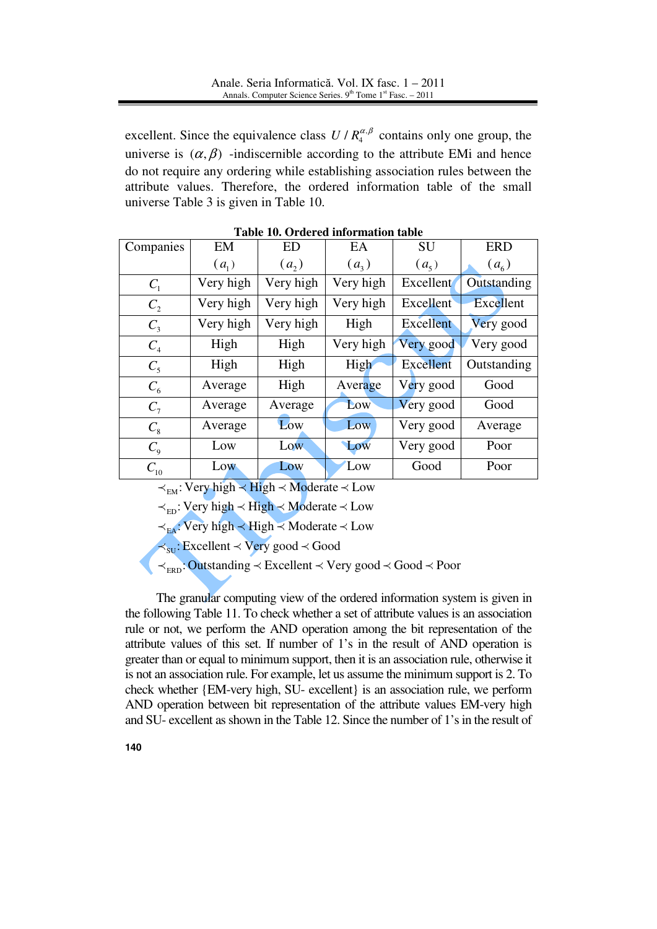excellent. Since the equivalence class  $U/R_4^{\alpha,\beta}$  contains only one group, the universe is  $(\alpha, \beta)$  -indiscernible according to the attribute EMi and hence do not require any ordering while establishing association rules between the attribute values. Therefore, the ordered information table of the small universe Table 3 is given in Table 10.

| Companies             | EM        | <b>ED</b> | EA        | <b>SU</b>        | <b>ERD</b>        |
|-----------------------|-----------|-----------|-----------|------------------|-------------------|
|                       | $(a_1)$   | (a, )     | $(a_3)$   | $(a_5)$          | (a <sub>6</sub> ) |
| $C_{1}$               | Very high | Very high | Very high | <b>Excellent</b> | Outstanding       |
| $C_{2}$               | Very high | Very high | Very high | <b>Excellent</b> | Excellent         |
| $C_{3}$               | Very high | Very high | High      | Excellent        | Very good         |
| $C_4$                 | High      | High      | Very high | Very good        | Very good         |
| $C_5$                 | High      | High      | High      | <b>Excellent</b> | Outstanding       |
| $C_6$                 | Average   | High      | Average   | Very good        | Good              |
| $C_7$                 | Average   | Average   | Low       | Very good        | Good              |
| $C_{8}$               | Average   | Low       | Low       | Very good        | Average           |
| $C_{\rm Q}$           | Low       | Low       | Low       | Very good        | Poor              |
| $\mathcal{C}_{_{10}}$ | Low       | Low       | Low       | Good             | Poor              |

**Table 10. Ordered information table** 

 $\prec_{\text{EM}}$ : Very high  $\prec$  High  $\prec$  Moderate  $\prec$  Low

 $\prec_{\text{ED}}$ : Very high  $\prec$  High  $\prec$  Moderate  $\prec$  Low

 $\prec_{\text{EA}}$ : Very high  $\prec$  High  $\prec$  Moderate  $\prec$  Low

 $\prec_{\text{SU}}$ : Excellent  $\prec$  Very good  $\prec$  Good

 $\prec_{\text{ERD}}$ : Outstanding  $\prec$  Excellent  $\prec$  Very good  $\prec$  Good  $\prec$  Poor

The granular computing view of the ordered information system is given in the following Table 11. To check whether a set of attribute values is an association rule or not, we perform the AND operation among the bit representation of the attribute values of this set. If number of 1's in the result of AND operation is greater than or equal to minimum support, then it is an association rule, otherwise it is not an association rule. For example, let us assume the minimum support is 2. To check whether {EM-very high, SU- excellent} is an association rule, we perform AND operation between bit representation of the attribute values EM-very high and SU- excellent as shown in the Table 12. Since the number of 1's in the result of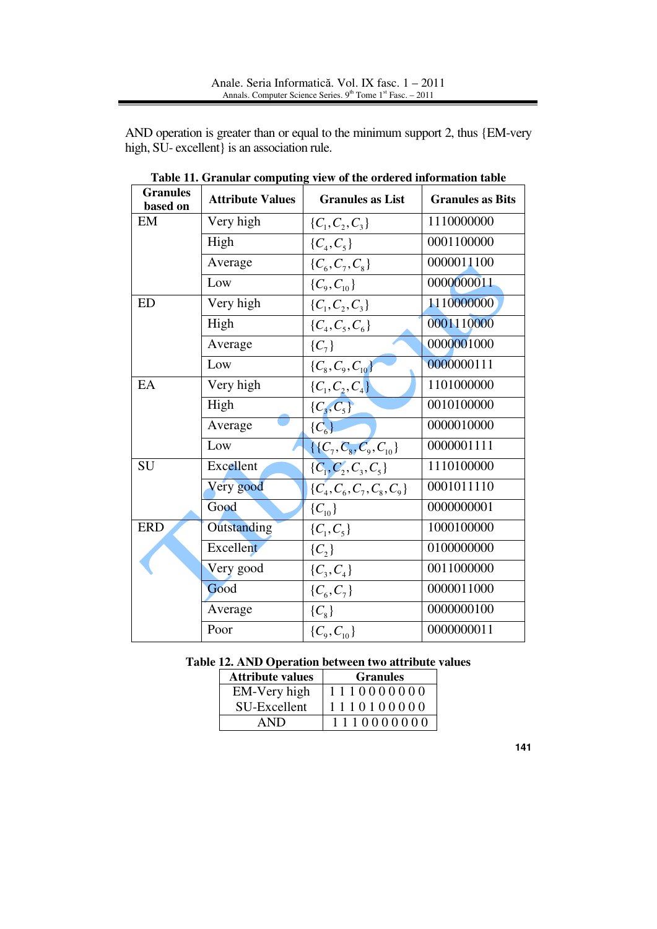AND operation is greater than or equal to the minimum support 2, thus {EM-very high, SU- excellent} is an association rule.

| <b>Granules</b><br>based on | <b>Attribute Values</b> | <b>Granules as List</b>         | <b>Granules as Bits</b> |
|-----------------------------|-------------------------|---------------------------------|-------------------------|
| EM                          | Very high               | $\{C_1, C_2, C_3\}$             | 1110000000              |
|                             | High                    | $\{C_4, C_5\}$                  | 0001100000              |
|                             | Average                 | $\{C_6, C_7, C_8\}$             | 0000011100              |
|                             | Low                     | $\{C_9, C_{10}\}\$              | 0000000011              |
| <b>ED</b>                   | Very high               | $\{C_1, C_2, C_3\}$             | 1110000000              |
|                             | High                    | $\{C_4, C_5, C_6\}$             | 0001110000              |
|                             | Average                 | $\{C_7\}$                       | 0000001000              |
|                             | Low                     | $\{C_8, C_9, C_{10}\}\$         | 0000000111              |
| EA                          | Very high               | $\{C_1, C_2, C_4\}$             | 1101000000              |
|                             | High                    | $\{C_3, C_5\}$                  | 0010100000              |
|                             | Average                 | $\{C_{6}\}\$                    | 0000010000              |
|                             | Low                     | $\{ \{C_7, C_8, C_9, C_{10} \}$ | 0000001111              |
| <b>SU</b>                   | Excellent               | $\{C_1, C_2, C_3, C_5\}$        | 1110100000              |
|                             | Very good               | $\{C_4, C_6, C_7, C_8, C_9\}$   | 0001011110              |
|                             | Good                    | $\{C_{10}\}\$                   | 0000000001              |
| <b>ERD</b>                  | Outstanding             | $\{C_1, C_5\}$                  | 1000100000              |
|                             | Excellent               | $\{C_{2}\}\$                    | 0100000000              |
|                             | Very good               | $\{C_3, C_4\}$                  | 0011000000              |
|                             | Good                    | $\{C_6, C_7\}$                  | 0000011000              |
|                             | Average                 | $\{C_8\}$                       | 0000000100              |
|                             | Poor                    | $\{C_9, C_{10}\}$               | 0000000011              |

**Table 11. Granular computing view of the ordered information table** 

|  | Table 12. AND Operation between two attribute values |  |  |
|--|------------------------------------------------------|--|--|
|  |                                                      |  |  |

| <b>Attribute values</b> | <b>Granules</b> |
|-------------------------|-----------------|
| EM-Very high            | 1110000000      |
| SU-Excellent            | 1110100000      |
| AND                     | 1110000000      |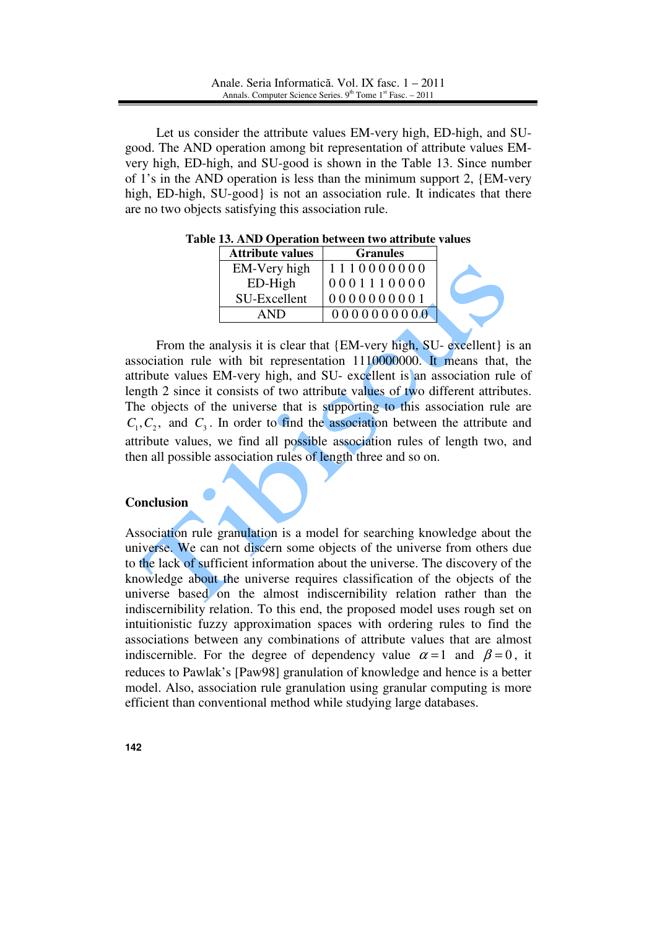Let us consider the attribute values EM-very high, ED-high, and SUgood. The AND operation among bit representation of attribute values EMvery high, ED-high, and SU-good is shown in the Table 13. Since number of 1's in the AND operation is less than the minimum support 2, {EM-very high, ED-high, SU-good} is not an association rule. It indicates that there are no two objects satisfying this association rule.

| <b>Attribute values</b> | <b>Granules</b> |  |
|-------------------------|-----------------|--|
| EM-Very high            | 1110000000      |  |
| $ED-High$               | 0001110000      |  |
| SU-Excellent            | 0000000001      |  |
| AND                     | 0000000000      |  |

**Table 13. AND Operation between two attribute values** 

From the analysis it is clear that {EM-very high, SU- excellent} is an association rule with bit representation 1110000000. It means that, the attribute values EM-very high, and SU- excellent is an association rule of length 2 since it consists of two attribute values of two different attributes. The objects of the universe that is supporting to this association rule are  $C_1, C_2$ , and  $C_3$ . In order to find the association between the attribute and attribute values, we find all possible association rules of length two, and then all possible association rules of length three and so on.

#### **Conclusion**

Association rule granulation is a model for searching knowledge about the universe. We can not discern some objects of the universe from others due to the lack of sufficient information about the universe. The discovery of the knowledge about the universe requires classification of the objects of the universe based on the almost indiscernibility relation rather than the indiscernibility relation. To this end, the proposed model uses rough set on intuitionistic fuzzy approximation spaces with ordering rules to find the associations between any combinations of attribute values that are almost indiscernible. For the degree of dependency value  $\alpha = 1$  and  $\beta = 0$ , it reduces to Pawlak's [Paw98] granulation of knowledge and hence is a better model. Also, association rule granulation using granular computing is more efficient than conventional method while studying large databases.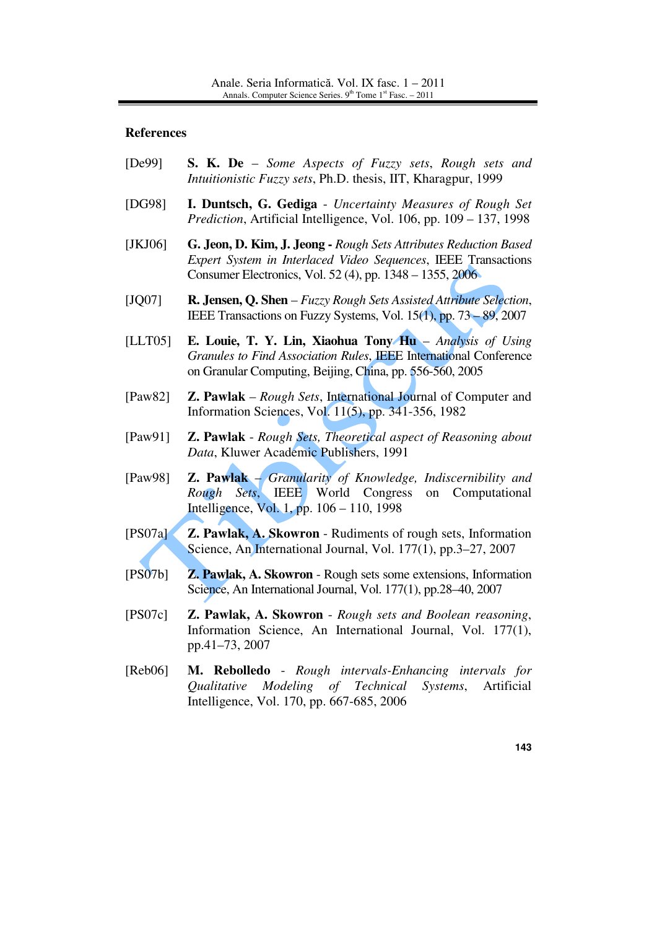#### **References**

- [De99] **S. K. De** *Some Aspects of Fuzzy sets*, *Rough sets and Intuitionistic Fuzzy sets*, Ph.D. thesis, IIT, Kharagpur, 1999
- [DG98] **I. Duntsch, G. Gediga** *Uncertainty Measures of Rough Set Prediction*, Artificial Intelligence, Vol. 106, pp. 109 – 137, 1998
- [JKJ06] **G. Jeon, D. Kim, J. Jeong** *Rough Sets Attributes Reduction Based Expert System in Interlaced Video Sequences*, IEEE Transactions Consumer Electronics, Vol. 52 (4), pp. 1348 – 1355, 2006
- [JQ07] **R. Jensen, Q. Shen** *Fuzzy Rough Sets Assisted Attribute Selection*, IEEE Transactions on Fuzzy Systems, Vol. 15(1), pp. 73 – 89, 2007
- [LLT05] **E. Louie, T. Y. Lin, Xiaohua Tony Hu** *Analysis of Using Granules to Find Association Rules*, IEEE International Conference on Granular Computing, Beijing, China, pp. 556-560, 2005
- [Paw82] **Z. Pawlak**  *Rough Sets*, International Journal of Computer and Information Sciences, Vol. 11(5), pp. 341-356, 1982
- [Paw91] **Z. Pawlak** *Rough Sets, Theoretical aspect of Reasoning about Data*, Kluwer Academic Publishers, 1991
- [Paw98] **Z. Pawlak** *Granularity of Knowledge, Indiscernibility and Rough Sets*, IEEE World Congress on Computational Intelligence, Vol. 1, pp. 106 – 110, 1998
- [PS07a] **Z. Pawlak, A. Skowron** Rudiments of rough sets, Information Science, An International Journal, Vol. 177(1), pp.3–27, 2007
- [PS07b] **Z. Pawlak, A. Skowron** Rough sets some extensions, Information Science, An International Journal, Vol. 177(1), pp.28–40, 2007
- [PS07c] **Z. Pawlak, A. Skowron** *Rough sets and Boolean reasoning*, Information Science, An International Journal, Vol. 177(1), pp.41–73, 2007
- [Reb06] **M. Rebolledo** *Rough intervals-Enhancing intervals for Qualitative Modeling of Technical Systems*, Artificial Intelligence, Vol. 170, pp. 667-685, 2006